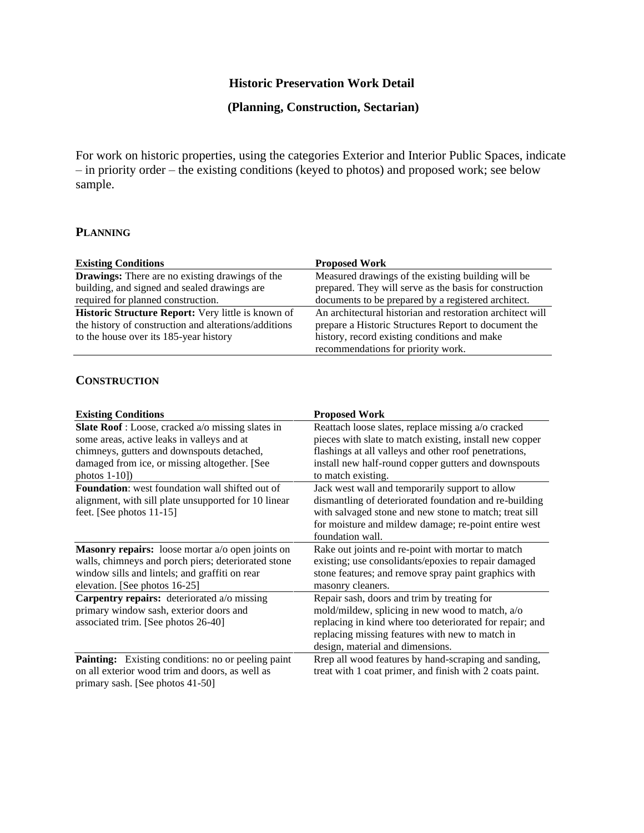# **Historic Preservation Work Detail**

# **(Planning, Construction, Sectarian)**

For work on historic properties, using the categories Exterior and Interior Public Spaces, indicate – in priority order – the existing conditions (keyed to photos) and proposed work; see below sample.

### **PLANNING**

| <b>Existing Conditions</b>                                | <b>Proposed Work</b>                                      |
|-----------------------------------------------------------|-----------------------------------------------------------|
| <b>Drawings:</b> There are no existing drawings of the    | Measured drawings of the existing building will be        |
| building, and signed and sealed drawings are              | prepared. They will serve as the basis for construction   |
| required for planned construction.                        | documents to be prepared by a registered architect.       |
| <b>Historic Structure Report:</b> Very little is known of | An architectural historian and restoration architect will |
| the history of construction and alterations/additions     | prepare a Historic Structures Report to document the      |
| to the house over its 185-year history                    | history, record existing conditions and make              |
|                                                           | recommendations for priority work.                        |

#### **CONSTRUCTION**

| <b>Existing Conditions</b>                                                                                                                                                                                                | <b>Proposed Work</b>                                                                                                                                                                                                                                 |
|---------------------------------------------------------------------------------------------------------------------------------------------------------------------------------------------------------------------------|------------------------------------------------------------------------------------------------------------------------------------------------------------------------------------------------------------------------------------------------------|
| <b>Slate Roof</b> : Loose, cracked a/o missing slates in<br>some areas, active leaks in valleys and at<br>chimneys, gutters and downspouts detached,<br>damaged from ice, or missing altogether. [See<br>photos $1-10$ ]) | Reattach loose slates, replace missing a/o cracked<br>pieces with slate to match existing, install new copper<br>flashings at all valleys and other roof penetrations,<br>install new half-round copper gutters and downspouts<br>to match existing. |
| <b>Foundation:</b> west foundation wall shifted out of<br>alignment, with sill plate unsupported for 10 linear<br>feet. [See photos $11-15$ ]                                                                             | Jack west wall and temporarily support to allow<br>dismantling of deteriorated foundation and re-building<br>with salvaged stone and new stone to match; treat sill<br>for moisture and mildew damage; re-point entire west<br>foundation wall.      |
| Masonry repairs: loose mortar a/o open joints on<br>walls, chimneys and porch piers; deteriorated stone<br>window sills and lintels; and graffiti on rear<br>elevation. [See photos 16-25]                                | Rake out joints and re-point with mortar to match<br>existing; use consolidants/epoxies to repair damaged<br>stone features; and remove spray paint graphics with<br>masonry cleaners.                                                               |
| <b>Carpentry repairs:</b> deteriorated a/o missing<br>primary window sash, exterior doors and<br>associated trim. [See photos 26-40]                                                                                      | Repair sash, doors and trim by treating for<br>mold/mildew, splicing in new wood to match, a/o<br>replacing in kind where too deteriorated for repair; and<br>replacing missing features with new to match in<br>design, material and dimensions.    |
| <b>Painting:</b> Existing conditions: no or peeling paint<br>on all exterior wood trim and doors, as well as<br>primary sash. [See photos 41-50]                                                                          | Rrep all wood features by hand-scraping and sanding,<br>treat with 1 coat primer, and finish with 2 coats paint.                                                                                                                                     |